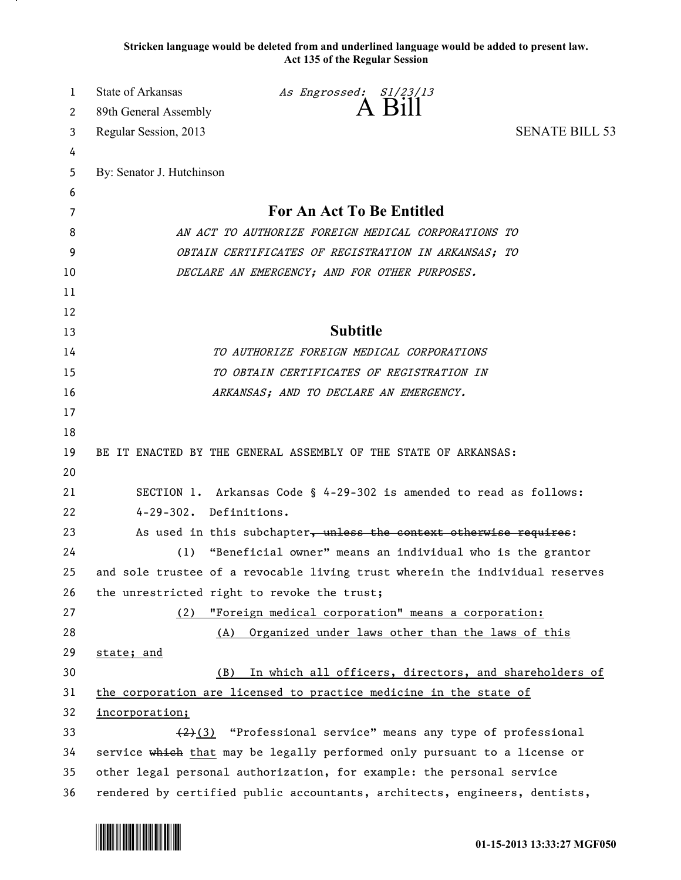**Stricken language would be deleted from and underlined language would be added to present law. Act 135 of the Regular Session**

| 1<br>2 | State of Arkansas<br>89th General Assembly                                 | As Engrossed: S1/23/13<br>A Bill                                             |                       |
|--------|----------------------------------------------------------------------------|------------------------------------------------------------------------------|-----------------------|
| 3      | Regular Session, 2013                                                      |                                                                              | <b>SENATE BILL 53</b> |
| 4      |                                                                            |                                                                              |                       |
| 5      | By: Senator J. Hutchinson                                                  |                                                                              |                       |
| 6      |                                                                            |                                                                              |                       |
| 7      |                                                                            | For An Act To Be Entitled                                                    |                       |
| 8      | AN ACT TO AUTHORIZE FOREIGN MEDICAL CORPORATIONS TO                        |                                                                              |                       |
| 9      | OBTAIN CERTIFICATES OF REGISTRATION IN ARKANSAS; TO                        |                                                                              |                       |
| 10     | DECLARE AN EMERGENCY; AND FOR OTHER PURPOSES.                              |                                                                              |                       |
| 11     |                                                                            |                                                                              |                       |
| 12     |                                                                            |                                                                              |                       |
| 13     |                                                                            | <b>Subtitle</b>                                                              |                       |
| 14     |                                                                            | TO AUTHORIZE FOREIGN MEDICAL CORPORATIONS                                    |                       |
| 15     |                                                                            | TO OBTAIN CERTIFICATES OF REGISTRATION IN                                    |                       |
| 16     |                                                                            | ARKANSAS; AND TO DECLARE AN EMERGENCY.                                       |                       |
| 17     |                                                                            |                                                                              |                       |
| 18     |                                                                            |                                                                              |                       |
| 19     |                                                                            | BE IT ENACTED BY THE GENERAL ASSEMBLY OF THE STATE OF ARKANSAS:              |                       |
| 20     |                                                                            |                                                                              |                       |
| 21     |                                                                            | SECTION 1. Arkansas Code § 4-29-302 is amended to read as follows:           |                       |
| 22     | 4-29-302. Definitions.                                                     |                                                                              |                       |
| 23     |                                                                            | As used in this subchapter, unless the context otherwise requires:           |                       |
| 24     | (1)                                                                        | "Beneficial owner" means an individual who is the grantor                    |                       |
| 25     |                                                                            | and sole trustee of a revocable living trust wherein the individual reserves |                       |
| 26     | the unrestricted right to revoke the trust;                                |                                                                              |                       |
| 27     | (2)                                                                        | "Foreign medical corporation" means a corporation:                           |                       |
| 28     | (A)                                                                        | Organized under laws other than the laws of this                             |                       |
| 29     | state; and                                                                 |                                                                              |                       |
| 30     | (B)                                                                        | In which all officers, directors, and shareholders of                        |                       |
| 31     |                                                                            | the corporation are licensed to practice medicine in the state of            |                       |
| 32     | incorporation;                                                             |                                                                              |                       |
| 33     |                                                                            | (2)(3) "Professional service" means any type of professional                 |                       |
| 34     |                                                                            | service which that may be legally performed only pursuant to a license or    |                       |
| 35     | other legal personal authorization, for example: the personal service      |                                                                              |                       |
| 36     | rendered by certified public accountants, architects, engineers, dentists, |                                                                              |                       |

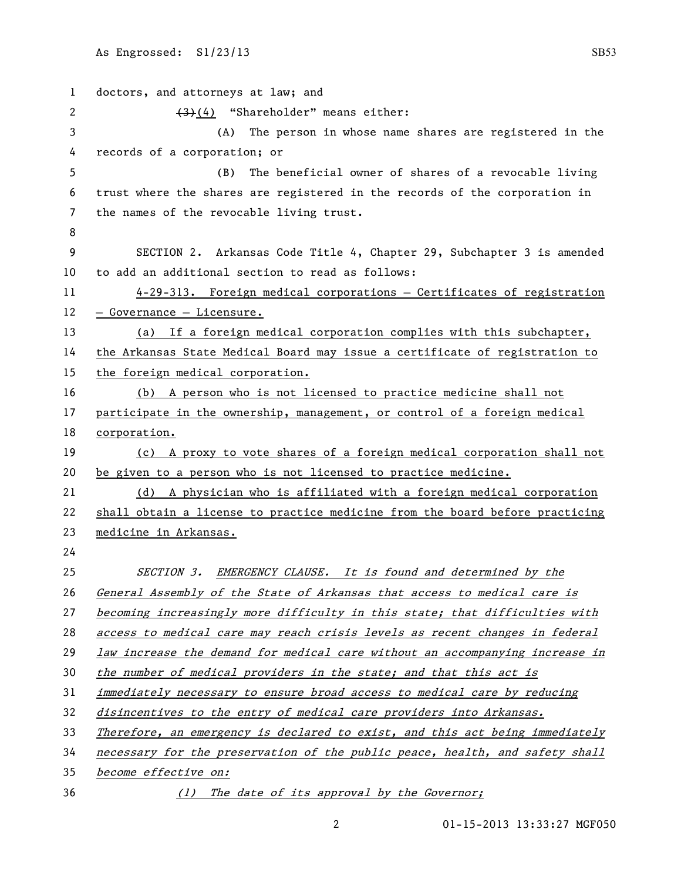| 1  | doctors, and attorneys at law; and                                           |  |  |
|----|------------------------------------------------------------------------------|--|--|
| 2  | $(3)(4)$ "Shareholder" means either:                                         |  |  |
| 3  | (A) The person in whose name shares are registered in the                    |  |  |
| 4  | records of a corporation; or                                                 |  |  |
| 5  | The beneficial owner of shares of a revocable living<br>(B)                  |  |  |
| 6  | trust where the shares are registered in the records of the corporation in   |  |  |
| 7  | the names of the revocable living trust.                                     |  |  |
| 8  |                                                                              |  |  |
| 9  | SECTION 2. Arkansas Code Title 4, Chapter 29, Subchapter 3 is amended        |  |  |
| 10 | to add an additional section to read as follows:                             |  |  |
| 11 | 4-29-313. Foreign medical corporations - Certificates of registration        |  |  |
| 12 | - Governance - Licensure.                                                    |  |  |
| 13 | (a) If a foreign medical corporation complies with this subchapter,          |  |  |
| 14 | the Arkansas State Medical Board may issue a certificate of registration to  |  |  |
| 15 | the foreign medical corporation.                                             |  |  |
| 16 | (b) A person who is not licensed to practice medicine shall not              |  |  |
| 17 | participate in the ownership, management, or control of a foreign medical    |  |  |
| 18 | corporation.                                                                 |  |  |
| 19 | (c) A proxy to vote shares of a foreign medical corporation shall not        |  |  |
| 20 | be given to a person who is not licensed to practice medicine.               |  |  |
| 21 | (d) A physician who is affiliated with a foreign medical corporation         |  |  |
| 22 | shall obtain a license to practice medicine from the board before practicing |  |  |
| 23 | medicine in Arkansas.                                                        |  |  |
| 24 |                                                                              |  |  |
| 25 | SECTION 3. EMERGENCY CLAUSE. It is found and determined by the               |  |  |
| 26 | General Assembly of the State of Arkansas that access to medical care is     |  |  |
| 27 | becoming increasingly more difficulty in this state; that difficulties with  |  |  |
| 28 | access to medical care may reach crisis levels as recent changes in federal  |  |  |
| 29 | law increase the demand for medical care without an accompanying increase in |  |  |
| 30 | the number of medical providers in the state; and that this act is           |  |  |
| 31 | immediately necessary to ensure broad access to medical care by reducing     |  |  |
| 32 | disincentives to the entry of medical care providers into Arkansas.          |  |  |
| 33 | Therefore, an emergency is declared to exist, and this act being immediately |  |  |
| 34 | necessary for the preservation of the public peace, health, and safety shall |  |  |
| 35 | become effective on:                                                         |  |  |
| 36 | (1) The date of its approval by the Governor;                                |  |  |